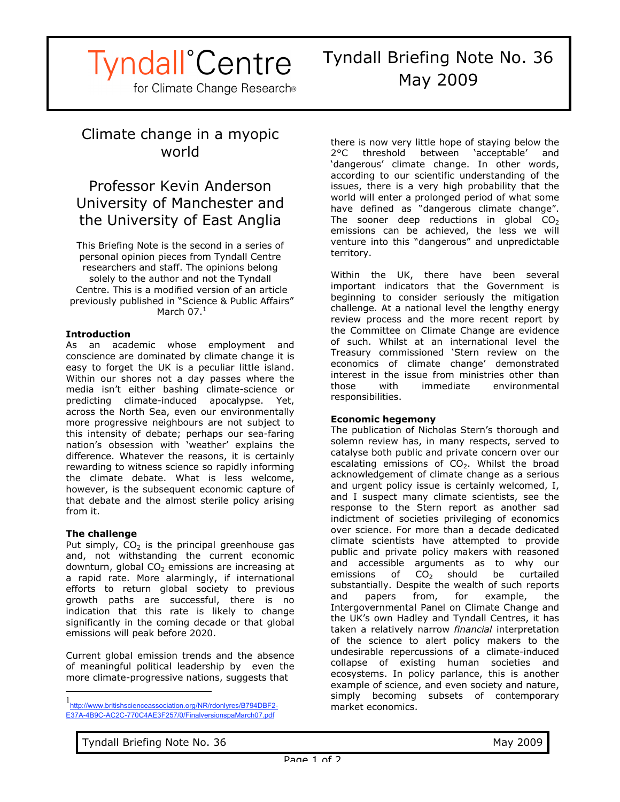# **Tyndall**<sup>°</sup>Centre

for Climate Change Research®

### Climate change in a myopic world

### Professor Kevin Anderson University of Manchester and the University of East Anglia

This Briefing Note is the second in a series of personal opinion pieces from Tyndall Centre researchers and staff. The opinions belong solely to the author and not the Tyndall Centre. This is a modified version of an article previously published in "Science & Public Affairs" March  $07.<sup>1</sup>$ 

#### **Introduction**

As an academic whose employment and conscience are dominated by climate change it is easy to forget the UK is a peculiar little island. Within our shores not a day passes where the media isn't either bashing climate-science or predicting climate-induced apocalypse. Yet, across the North Sea, even our environmentally more progressive neighbours are not subject to this intensity of debate; perhaps our sea-faring nation's obsession with 'weather' explains the difference. Whatever the reasons, it is certainly rewarding to witness science so rapidly informing the climate debate. What is less welcome, however, is the subsequent economic capture of that debate and the almost sterile policy arising from it.

#### **The challenge**

Put simply,  $CO<sub>2</sub>$  is the principal greenhouse gas and, not withstanding the current economic downturn, global  $CO<sub>2</sub>$  emissions are increasing at a rapid rate. More alarmingly, if international efforts to return global society to previous growth paths are successful, there is no indication that this rate is likely to change significantly in the coming decade or that global emissions will peak before 2020.

Current global emission trends and the absence of meaningful political leadership by even the more climate-progressive nations, suggests that

there is now very little hope of staying below the 2°C threshold between 'acceptable' and 'dangerous' climate change. In other words, according to our scientific understanding of the issues, there is a very high probability that the world will enter a prolonged period of what some have defined as "dangerous climate change". The sooner deep reductions in global  $CO<sub>2</sub>$ emissions can be achieved, the less we will venture into this "dangerous" and unpredictable territory.

Within the UK, there have been several important indicators that the Government is beginning to consider seriously the mitigation challenge. At a national level the lengthy energy review process and the more recent report by the Committee on Climate Change are evidence of such. Whilst at an international level the Treasury commissioned 'Stern review on the economics of climate change' demonstrated interest in the issue from ministries other than those with immediate environmental responsibilities.

#### **Economic hegemony**

The publication of Nicholas Stern's thorough and solemn review has, in many respects, served to catalyse both public and private concern over our escalating emissions of  $CO<sub>2</sub>$ . Whilst the broad acknowledgement of climate change as a serious and urgent policy issue is certainly welcomed, I, and I suspect many climate scientists, see the response to the Stern report as another sad indictment of societies privileging of economics over science. For more than a decade dedicated climate scientists have attempted to provide public and private policy makers with reasoned and accessible arguments as to why our emissions of  $CO<sub>2</sub>$  should be curtailed substantially. Despite the wealth of such reports and papers from, for example, the Intergovernmental Panel on Climate Change and the UK's own Hadley and Tyndall Centres, it has taken a relatively narrow *financial* interpretation of the science to alert policy makers to the undesirable repercussions of a climate-induced collapse of existing human societies and ecosystems. In policy parlance, this is another example of science, and even society and nature, simply becoming subsets of contemporary market economics.

 $\frac{1}{1}$ http://www.britishscienceassociation.org/NR/rdonlyres/B794DBF2- E37A-4B9C-AC2C-770C4AE3F257/0/FinalversionspaMarch07.pdf

Tyndall Briefing Note No. 36 May 2009